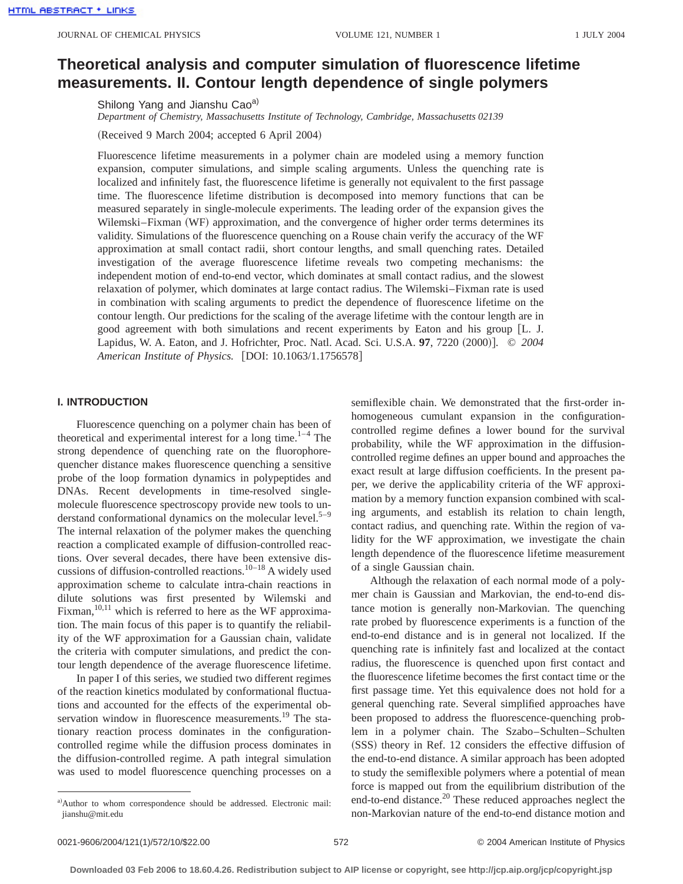# **Theoretical analysis and computer simulation of fluorescence lifetime measurements. II. Contour length dependence of single polymers**

Shilong Yang and Jianshu Cao<sup>a)</sup>

*Department of Chemistry, Massachusetts Institute of Technology, Cambridge, Massachusetts 02139*

(Received 9 March 2004; accepted 6 April 2004)

Fluorescence lifetime measurements in a polymer chain are modeled using a memory function expansion, computer simulations, and simple scaling arguments. Unless the quenching rate is localized and infinitely fast, the fluorescence lifetime is generally not equivalent to the first passage time. The fluorescence lifetime distribution is decomposed into memory functions that can be measured separately in single-molecule experiments. The leading order of the expansion gives the Wilemski–Fixman (WF) approximation, and the convergence of higher order terms determines its validity. Simulations of the fluorescence quenching on a Rouse chain verify the accuracy of the WF approximation at small contact radii, short contour lengths, and small quenching rates. Detailed investigation of the average fluorescence lifetime reveals two competing mechanisms: the independent motion of end-to-end vector, which dominates at small contact radius, and the slowest relaxation of polymer, which dominates at large contact radius. The Wilemski–Fixman rate is used in combination with scaling arguments to predict the dependence of fluorescence lifetime on the contour length. Our predictions for the scaling of the average lifetime with the contour length are in good agreement with both simulations and recent experiments by Eaton and his group [L. J. Lapidus, W. A. Eaton, and J. Hofrichter, Proc. Natl. Acad. Sci. U.S.A. 97, 7220 (2000)]. © 2004 *American Institute of Physics.* [DOI: 10.1063/1.1756578]

# **I. INTRODUCTION**

Fluorescence quenching on a polymer chain has been of theoretical and experimental interest for a long time. $1-4$  The strong dependence of quenching rate on the fluorophorequencher distance makes fluorescence quenching a sensitive probe of the loop formation dynamics in polypeptides and DNAs. Recent developments in time-resolved singlemolecule fluorescence spectroscopy provide new tools to understand conformational dynamics on the molecular level.<sup>5-9</sup> The internal relaxation of the polymer makes the quenching reaction a complicated example of diffusion-controlled reactions. Over several decades, there have been extensive discussions of diffusion-controlled reactions.<sup>10–18</sup> A widely used approximation scheme to calculate intra-chain reactions in dilute solutions was first presented by Wilemski and Fixman,  $10,11$  which is referred to here as the WF approximation. The main focus of this paper is to quantify the reliability of the WF approximation for a Gaussian chain, validate the criteria with computer simulations, and predict the contour length dependence of the average fluorescence lifetime.

In paper I of this series, we studied two different regimes of the reaction kinetics modulated by conformational fluctuations and accounted for the effects of the experimental observation window in fluorescence measurements.<sup>19</sup> The stationary reaction process dominates in the configurationcontrolled regime while the diffusion process dominates in the diffusion-controlled regime. A path integral simulation was used to model fluorescence quenching processes on a

semiflexible chain. We demonstrated that the first-order inhomogeneous cumulant expansion in the configurationcontrolled regime defines a lower bound for the survival probability, while the WF approximation in the diffusioncontrolled regime defines an upper bound and approaches the exact result at large diffusion coefficients. In the present paper, we derive the applicability criteria of the WF approximation by a memory function expansion combined with scaling arguments, and establish its relation to chain length, contact radius, and quenching rate. Within the region of validity for the WF approximation, we investigate the chain length dependence of the fluorescence lifetime measurement of a single Gaussian chain.

Although the relaxation of each normal mode of a polymer chain is Gaussian and Markovian, the end-to-end distance motion is generally non-Markovian. The quenching rate probed by fluorescence experiments is a function of the end-to-end distance and is in general not localized. If the quenching rate is infinitely fast and localized at the contact radius, the fluorescence is quenched upon first contact and the fluorescence lifetime becomes the first contact time or the first passage time. Yet this equivalence does not hold for a general quenching rate. Several simplified approaches have been proposed to address the fluorescence-quenching problem in a polymer chain. The Szabo–Schulten–Schulten (SSS) theory in Ref. 12 considers the effective diffusion of the end-to-end distance. A similar approach has been adopted to study the semiflexible polymers where a potential of mean force is mapped out from the equilibrium distribution of the end-to-end distance.<sup>20</sup> These reduced approaches neglect the non-Markovian nature of the end-to-end distance motion and

a)Author to whom correspondence should be addressed. Electronic mail: jianshu@mit.edu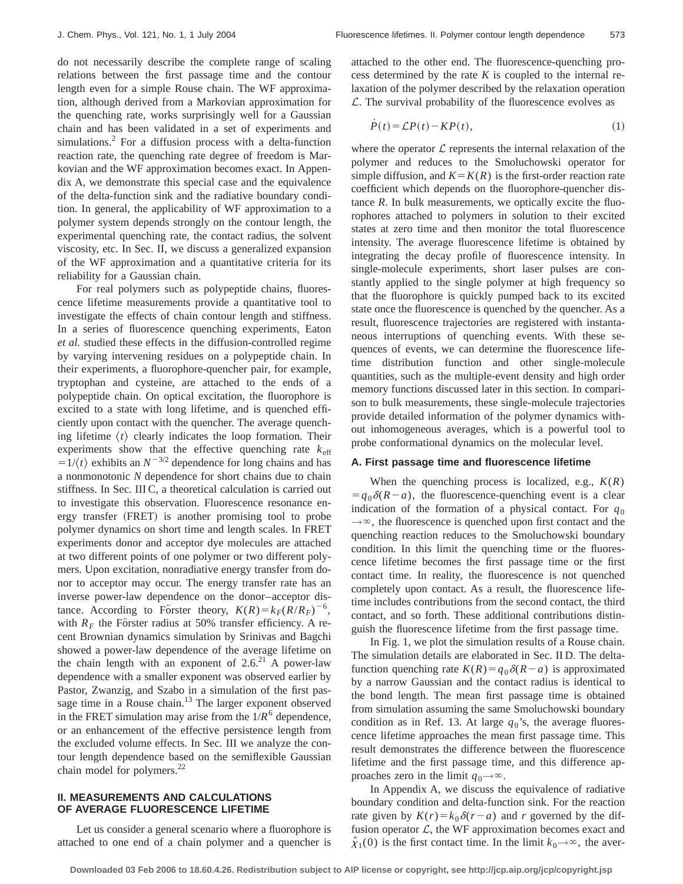do not necessarily describe the complete range of scaling relations between the first passage time and the contour length even for a simple Rouse chain. The WF approximation, although derived from a Markovian approximation for the quenching rate, works surprisingly well for a Gaussian chain and has been validated in a set of experiments and simulations.<sup>2</sup> For a diffusion process with a delta-function reaction rate, the quenching rate degree of freedom is Markovian and the WF approximation becomes exact. In Appendix A, we demonstrate this special case and the equivalence of the delta-function sink and the radiative boundary condition. In general, the applicability of WF approximation to a polymer system depends strongly on the contour length, the experimental quenching rate, the contact radius, the solvent viscosity, etc. In Sec. II, we discuss a generalized expansion of the WF approximation and a quantitative criteria for its reliability for a Gaussian chain.

For real polymers such as polypeptide chains, fluorescence lifetime measurements provide a quantitative tool to investigate the effects of chain contour length and stiffness. In a series of fluorescence quenching experiments, Eaton *et al.* studied these effects in the diffusion-controlled regime by varying intervening residues on a polypeptide chain. In their experiments, a fluorophore-quencher pair, for example, tryptophan and cysteine, are attached to the ends of a polypeptide chain. On optical excitation, the fluorophore is excited to a state with long lifetime, and is quenched efficiently upon contact with the quencher. The average quenching lifetime  $\langle t \rangle$  clearly indicates the loop formation. Their experiments show that the effective quenching rate  $k_{\text{eff}}$  $=1/(t)$  exhibits an  $N^{-3/2}$  dependence for long chains and has a nonmonotonic *N* dependence for short chains due to chain stiffness. In Sec. III C, a theoretical calculation is carried out to investigate this observation. Fluorescence resonance energy transfer (FRET) is another promising tool to probe polymer dynamics on short time and length scales. In FRET experiments donor and acceptor dye molecules are attached at two different points of one polymer or two different polymers. Upon excitation, nonradiative energy transfer from donor to acceptor may occur. The energy transfer rate has an inverse power-law dependence on the donor–acceptor distance. According to Förster theory,  $K(R) = k_F(R/R_F)^{-6}$ , with  $R_F$  the Forster radius at 50% transfer efficiency. A recent Brownian dynamics simulation by Srinivas and Bagchi showed a power-law dependence of the average lifetime on the chain length with an exponent of  $2.6<sup>21</sup>$  A power-law dependence with a smaller exponent was observed earlier by Pastor, Zwanzig, and Szabo in a simulation of the first passage time in a Rouse chain. $^{13}$  The larger exponent observed in the FRET simulation may arise from the  $1/R<sup>6</sup>$  dependence, or an enhancement of the effective persistence length from the excluded volume effects. In Sec. III we analyze the contour length dependence based on the semiflexible Gaussian chain model for polymers.<sup>22</sup>

## **II. MEASUREMENTS AND CALCULATIONS OF AVERAGE FLUORESCENCE LIFETIME**

Let us consider a general scenario where a fluorophore is attached to one end of a chain polymer and a quencher is attached to the other end. The fluorescence-quenching process determined by the rate *K* is coupled to the internal relaxation of the polymer described by the relaxation operation  $\mathcal{L}$ . The survival probability of the fluorescence evolves as

$$
\dot{P}(t) = \mathcal{L}P(t) - KP(t),\tag{1}
$$

where the operator  $\mathcal L$  represents the internal relaxation of the polymer and reduces to the Smoluchowski operator for simple diffusion, and  $K = K(R)$  is the first-order reaction rate coefficient which depends on the fluorophore-quencher distance *R*. In bulk measurements, we optically excite the fluorophores attached to polymers in solution to their excited states at zero time and then monitor the total fluorescence intensity. The average fluorescence lifetime is obtained by integrating the decay profile of fluorescence intensity. In single-molecule experiments, short laser pulses are constantly applied to the single polymer at high frequency so that the fluorophore is quickly pumped back to its excited state once the fluorescence is quenched by the quencher. As a result, fluorescence trajectories are registered with instantaneous interruptions of quenching events. With these sequences of events, we can determine the fluorescence lifetime distribution function and other single-molecule quantities, such as the multiple-event density and high order memory functions discussed later in this section. In comparison to bulk measurements, these single-molecule trajectories provide detailed information of the polymer dynamics without inhomogeneous averages, which is a powerful tool to probe conformational dynamics on the molecular level.

### **A. First passage time and fluorescence lifetime**

When the quenching process is localized, e.g., *K*(*R*)  $= q_0 \delta(R - a)$ , the fluorescence-quenching event is a clear indication of the formation of a physical contact. For  $q_0$  $\rightarrow \infty$ , the fluorescence is quenched upon first contact and the quenching reaction reduces to the Smoluchowski boundary condition. In this limit the quenching time or the fluorescence lifetime becomes the first passage time or the first contact time. In reality, the fluorescence is not quenched completely upon contact. As a result, the fluorescence lifetime includes contributions from the second contact, the third contact, and so forth. These additional contributions distinguish the fluorescence lifetime from the first passage time.

In Fig. 1, we plot the simulation results of a Rouse chain. The simulation details are elaborated in Sec. II D. The deltafunction quenching rate  $K(R) = q_0 \delta(R - a)$  is approximated by a narrow Gaussian and the contact radius is identical to the bond length. The mean first passage time is obtained from simulation assuming the same Smoluchowski boundary condition as in Ref. 13. At large  $q_0$ 's, the average fluorescence lifetime approaches the mean first passage time. This result demonstrates the difference between the fluorescence lifetime and the first passage time, and this difference approaches zero in the limit  $q_0 \rightarrow \infty$ .

In Appendix A, we discuss the equivalence of radiative boundary condition and delta-function sink. For the reaction rate given by  $K(r) = k_0 \delta(r-a)$  and *r* governed by the diffusion operator  $\mathcal{L}$ , the WF approximation becomes exact and  $\hat{\chi}_1(0)$  is the first contact time. In the limit  $k_0 \rightarrow \infty$ , the aver-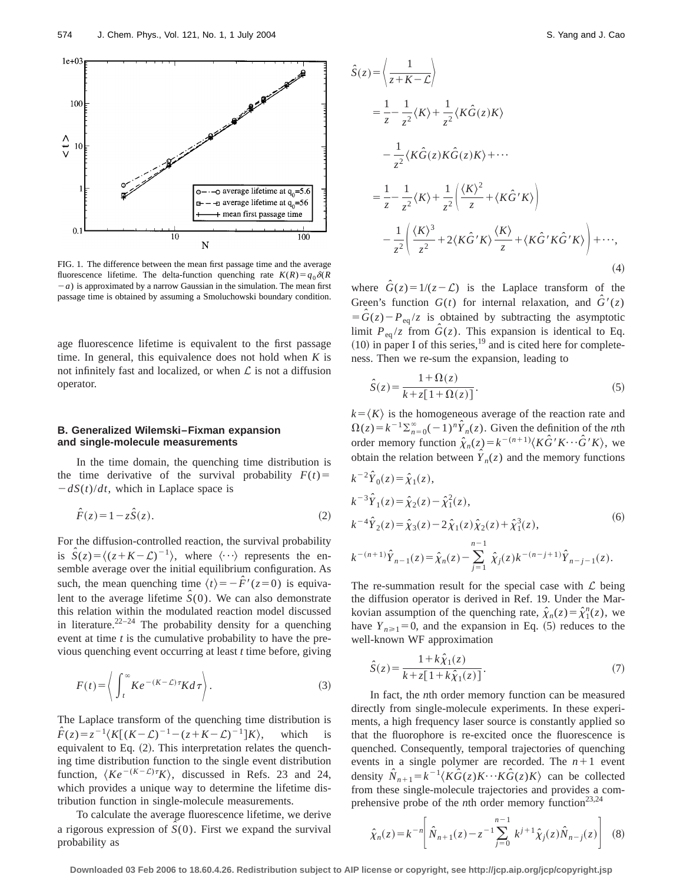

FIG. 1. The difference between the mean first passage time and the average fluorescence lifetime. The delta-function quenching rate  $K(R) = q_0 \delta(R)$  $(a-a)$  is approximated by a narrow Gaussian in the simulation. The mean first passage time is obtained by assuming a Smoluchowski boundary condition.

age fluorescence lifetime is equivalent to the first passage time. In general, this equivalence does not hold when *K* is not infinitely fast and localized, or when  $\mathcal L$  is not a diffusion operator.

### **B. Generalized Wilemski–Fixman expansion and single-molecule measurements**

In the time domain, the quenching time distribution is the time derivative of the survival probability  $F(t)$ =  $-dS(t)/dt$ , which in Laplace space is

$$
\hat{F}(z) = 1 - z\hat{S}(z). \tag{2}
$$

For the diffusion-controlled reaction, the survival probability is  $\hat{S}(z) = \langle (z + K - \mathcal{L})^{-1} \rangle$ , where  $\langle \cdots \rangle$  represents the ensemble average over the initial equilibrium configuration. As such, the mean quenching time  $\langle t \rangle = -\hat{F}^{\prime}(z=0)$  is equivalent to the average lifetime  $\hat{S}(0)$ . We can also demonstrate this relation within the modulated reaction model discussed in literature.<sup>22–24</sup> The probability density for a quenching event at time *t* is the cumulative probability to have the previous quenching event occurring at least *t* time before, giving

$$
F(t) = \left\langle \int_{t}^{\infty} K e^{-(K-\mathcal{L})\tau} K d\tau \right\rangle.
$$
 (3)

The Laplace transform of the quenching time distribution is  $\hat{F}(z) = z^{-1} \langle K[(K-\mathcal{L})^{-1}-(z+K-\mathcal{L})^{-1}]K \rangle$ , which is equivalent to Eq.  $(2)$ . This interpretation relates the quenching time distribution function to the single event distribution function,  $\langle Ke^{-(K-\mathcal{L})\tau}K\rangle$ , discussed in Refs. 23 and 24, which provides a unique way to determine the lifetime distribution function in single-molecule measurements.

To calculate the average fluorescence lifetime, we derive a rigorous expression of  $\hat{S}(0)$ . First we expand the survival probability as

$$
\hat{S}(z) = \left\langle \frac{1}{z + K - \mathcal{L}} \right\rangle
$$
\n
$$
= \frac{1}{z} - \frac{1}{z^2} \langle K \rangle + \frac{1}{z^2} \langle K \hat{G}(z) K \rangle
$$
\n
$$
- \frac{1}{z^2} \langle K \hat{G}(z) K \hat{G}(z) K \rangle + \cdots
$$
\n
$$
= \frac{1}{z} - \frac{1}{z^2} \langle K \rangle + \frac{1}{z^2} \left\langle \frac{\langle K \rangle^2}{z} + \langle K \hat{G}' K \rangle \right\rangle
$$
\n
$$
- \frac{1}{z^2} \left\langle \frac{\langle K \rangle^3}{z^2} + 2 \langle K \hat{G}' K \rangle \frac{\langle K \rangle}{z} + \langle K \hat{G}' K \hat{G}' K \rangle \right\rangle + \cdots,
$$
\n(4)

where  $\hat{G}(z) = 1/(z - \mathcal{L})$  is the Laplace transform of the Green's function  $G(t)$  for internal relaxation, and  $\hat{G}'(z)$  $= \hat{G}(z) - P_{eq}/z$  is obtained by subtracting the asymptotic limit  $P_{eq}/z$  from  $\hat{G}(z)$ . This expansion is identical to Eq.  $(10)$  in paper I of this series,<sup>19</sup> and is cited here for completeness. Then we re-sum the expansion, leading to

$$
\hat{S}(z) = \frac{1 + \Omega(z)}{k + z[1 + \Omega(z)]}.
$$
\n<sup>(5)</sup>

 $k = \langle K \rangle$  is the homogeneous average of the reaction rate and  $\Omega(z) = k^{-1} \sum_{n=0}^{\infty} (-1)^n \hat{Y}_n(z)$ . Given the definition of the *n*th order memory function  $\hat{\chi}_n(z) = k^{-(n+1)} \langle K \hat{G}' K \cdots \hat{G}' K \rangle$ , we obtain the relation between  $\hat{Y}_n(z)$  and the memory functions

$$
k^{-2}\hat{Y}_0(z) = \hat{\chi}_1(z),
$$
  
\n
$$
k^{-3}\hat{Y}_1(z) = \hat{\chi}_2(z) - \hat{\chi}_1^2(z),
$$
  
\n
$$
k^{-4}\hat{Y}_2(z) = \hat{\chi}_3(z) - 2\hat{\chi}_1(z)\hat{\chi}_2(z) + \hat{\chi}_1^3(z),
$$
  
\n
$$
k^{-(n+1)}\hat{Y}_{n-1}(z) = \hat{\chi}_n(z) - \sum_{j=1}^{n-1} \hat{\chi}_j(z)k^{-(n-j+1)}\hat{Y}_{n-j-1}(z).
$$
\n(6)

The re-summation result for the special case with  $\mathcal L$  being the diffusion operator is derived in Ref. 19. Under the Markovian assumption of the quenching rate,  $\hat{\chi}_n(z) = \hat{\chi}_1^n(z)$ , we have  $Y_{n\geq 1} = 0$ , and the expansion in Eq. (5) reduces to the well-known WF approximation

$$
\hat{S}(z) = \frac{1 + k\hat{\chi}_1(z)}{k + z[1 + k\hat{\chi}_1(z)]}.
$$
\n(7)

In fact, the *n*th order memory function can be measured directly from single-molecule experiments. In these experiments, a high frequency laser source is constantly applied so that the fluorophore is re-excited once the fluorescence is quenched. Consequently, temporal trajectories of quenching events in a single polymer are recorded. The  $n+1$  event density  $\hat{N}_{n+1} = k^{-1} \langle K \hat{G}(z) K \cdots K \hat{G}(z) K \rangle$  can be collected from these single-molecule trajectories and provides a comprehensive probe of the *n*th order memory function<sup>23,24</sup>

$$
\hat{\chi}_n(z) = k^{-n} \left[ \hat{N}_{n+1}(z) - z^{-1} \sum_{j=0}^{n-1} k^{j+1} \hat{\chi}_j(z) \hat{N}_{n-j}(z) \right] \tag{8}
$$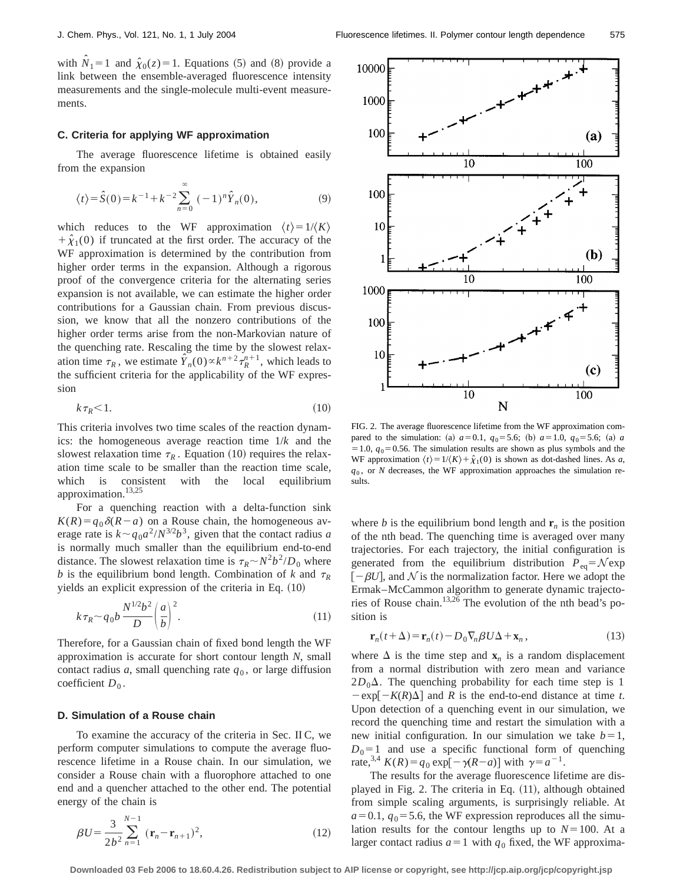with  $\hat{N}_1 = 1$  and  $\hat{\chi}_0(z) = 1$ . Equations (5) and (8) provide a link between the ensemble-averaged fluorescence intensity measurements and the single-molecule multi-event measurements.

### **C. Criteria for applying WF approximation**

The average fluorescence lifetime is obtained easily from the expansion

$$
\langle t \rangle = \hat{S}(0) = k^{-1} + k^{-2} \sum_{n=0}^{\infty} (-1)^n \hat{Y}_n(0),
$$
 (9)

which reduces to the WF approximation  $\langle t \rangle = 1/\langle K \rangle$  $+\hat{\chi}_1(0)$  if truncated at the first order. The accuracy of the WF approximation is determined by the contribution from higher order terms in the expansion. Although a rigorous proof of the convergence criteria for the alternating series expansion is not available, we can estimate the higher order contributions for a Gaussian chain. From previous discussion, we know that all the nonzero contributions of the higher order terms arise from the non-Markovian nature of the quenching rate. Rescaling the time by the slowest relaxation time  $\tau_R$ , we estimate  $\hat{Y}_n(0) \propto k^{n+2} \tau_R^{n+1}$ , which leads to the sufficient criteria for the applicability of the WF expression

$$
k \tau_R \le 1. \tag{10}
$$

This criteria involves two time scales of the reaction dynamics: the homogeneous average reaction time 1/*k* and the slowest relaxation time  $\tau_R$ . Equation (10) requires the relaxation time scale to be smaller than the reaction time scale, which is consistent with the local equilibrium approximation.13,25

For a quenching reaction with a delta-function sink  $K(R) = q_0 \delta(R - a)$  on a Rouse chain, the homogeneous average rate is  $k \sim q_0 a^2/N^{3/2} b^3$ , given that the contact radius *a* is normally much smaller than the equilibrium end-to-end distance. The slowest relaxation time is  $\tau_R \sim N^2 b^2/D_0$  where *b* is the equilibrium bond length. Combination of *k* and  $\tau_R$ yields an explicit expression of the criteria in Eq.  $(10)$ 

$$
k\tau_R \sim q_0 b \frac{N^{1/2} b^2}{D} \left(\frac{a}{b}\right)^2.
$$
 (11)

Therefore, for a Gaussian chain of fixed bond length the WF approximation is accurate for short contour length *N*, small contact radius *a*, small quenching rate  $q_0$ , or large diffusion coefficient  $D_0$ .

#### **D. Simulation of a Rouse chain**

To examine the accuracy of the criteria in Sec. II C, we perform computer simulations to compute the average fluorescence lifetime in a Rouse chain. In our simulation, we consider a Rouse chain with a fluorophore attached to one end and a quencher attached to the other end. The potential energy of the chain is

$$
\beta U = \frac{3}{2b^2} \sum_{n=1}^{N-1} (\mathbf{r}_n - \mathbf{r}_{n+1})^2,
$$
\n(12)



FIG. 2. The average fluorescence lifetime from the WF approximation compared to the simulation: (a)  $a=0.1$ ,  $q_0=5.6$ ; (b)  $a=1.0$ ,  $q_0=5.6$ ; (a)  $a$  $=1.0$ ,  $q_0=0.56$ . The simulation results are shown as plus symbols and the WF approximation  $\langle t \rangle = 1/\langle K \rangle + \hat{\chi}_1(0)$  is shown as dot-dashed lines. As *a*,  $q_0$ , or *N* decreases, the WF approximation approaches the simulation results.

where *b* is the equilibrium bond length and  $\mathbf{r}_n$  is the position of the nth bead. The quenching time is averaged over many trajectories. For each trajectory, the initial configuration is generated from the equilibrium distribution  $P_{eq} = N \exp$  $[-\beta U]$ , and N is the normalization factor. Here we adopt the Ermak–McCammon algorithm to generate dynamic trajectories of Rouse chain.<sup>13,26</sup> The evolution of the nth bead's position is

$$
\mathbf{r}_n(t+\Delta) = \mathbf{r}_n(t) - D_0 \nabla_n \beta U \Delta + \mathbf{x}_n, \qquad (13)
$$

where  $\Delta$  is the time step and  $\mathbf{x}_n$  is a random displacement from a normal distribution with zero mean and variance  $2D_0\Delta$ . The quenching probability for each time step is 1  $-\exp[-K(R)\Delta]$  and *R* is the end-to-end distance at time *t*. Upon detection of a quenching event in our simulation, we record the quenching time and restart the simulation with a new initial configuration. In our simulation we take  $b=1$ ,  $D_0=1$  and use a specific functional form of quenching rate,<sup>3,4</sup>  $K(R) = q_0 \exp[-\gamma(R-a)]$  with  $\gamma = a^{-1}$ .

The results for the average fluorescence lifetime are displayed in Fig. 2. The criteria in Eq.  $(11)$ , although obtained from simple scaling arguments, is surprisingly reliable. At  $a=0.1$ ,  $q_0=5.6$ , the WF expression reproduces all the simulation results for the contour lengths up to  $N=100$ . At a larger contact radius  $a=1$  with  $q_0$  fixed, the WF approxima-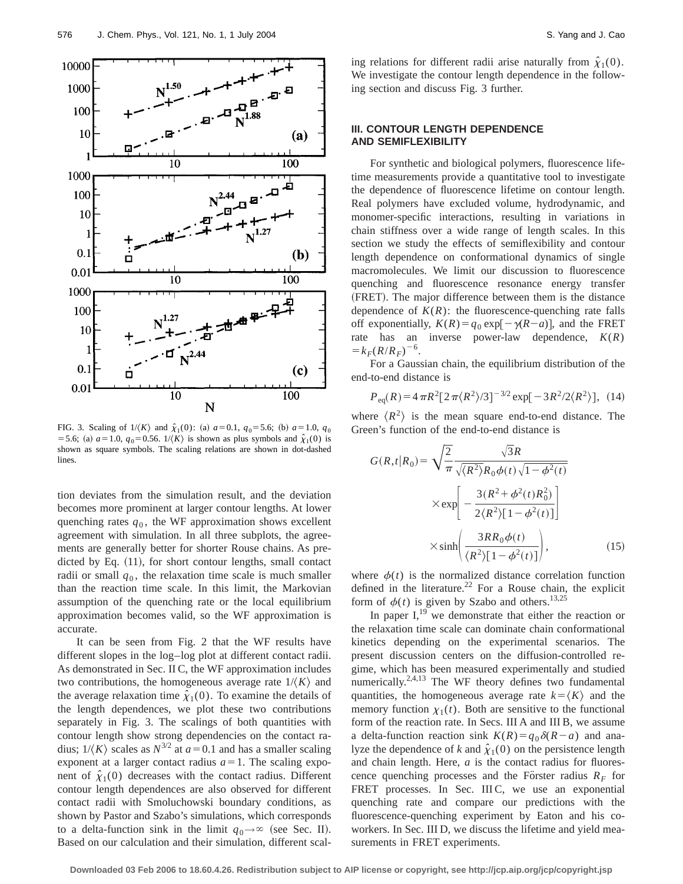

FIG. 3. Scaling of  $1/(K)$  and  $\hat{\chi}_1(0)$ : (a)  $a=0.1$ ,  $q_0=5.6$ ; (b)  $a=1.0$ ,  $q_0$  $=$  5.6; (a)  $a=1.0$ ,  $q_0=0.56$ .  $1/\langle K \rangle$  is shown as plus symbols and  $\hat{\chi}_1(0)$  is shown as square symbols. The scaling relations are shown in dot-dashed lines.

tion deviates from the simulation result, and the deviation becomes more prominent at larger contour lengths. At lower quenching rates  $q_0$ , the WF approximation shows excellent agreement with simulation. In all three subplots, the agreements are generally better for shorter Rouse chains. As predicted by Eq.  $(11)$ , for short contour lengths, small contact radii or small  $q_0$ , the relaxation time scale is much smaller than the reaction time scale. In this limit, the Markovian assumption of the quenching rate or the local equilibrium approximation becomes valid, so the WF approximation is accurate.

It can be seen from Fig. 2 that the WF results have different slopes in the log–log plot at different contact radii. As demonstrated in Sec. II C, the WF approximation includes two contributions, the homogeneous average rate  $1/(K)$  and the average relaxation time  $\hat{\chi}_1(0)$ . To examine the details of the length dependences, we plot these two contributions separately in Fig. 3. The scalings of both quantities with contour length show strong dependencies on the contact radius;  $1/(K)$  scales as  $N^{3/2}$  at  $a=0.1$  and has a smaller scaling exponent at a larger contact radius  $a=1$ . The scaling exponent of  $\hat{\chi}_1(0)$  decreases with the contact radius. Different contour length dependences are also observed for different contact radii with Smoluchowski boundary conditions, as shown by Pastor and Szabo's simulations, which corresponds to a delta-function sink in the limit  $q_0 \rightarrow \infty$  (see Sec. II). Based on our calculation and their simulation, different scaling relations for different radii arise naturally from  $\hat{\chi}_1(0)$ . We investigate the contour length dependence in the following section and discuss Fig. 3 further.

### **III. CONTOUR LENGTH DEPENDENCE AND SEMIFLEXIBILITY**

For synthetic and biological polymers, fluorescence lifetime measurements provide a quantitative tool to investigate the dependence of fluorescence lifetime on contour length. Real polymers have excluded volume, hydrodynamic, and monomer-specific interactions, resulting in variations in chain stiffness over a wide range of length scales. In this section we study the effects of semiflexibility and contour length dependence on conformational dynamics of single macromolecules. We limit our discussion to fluorescence quenching and fluorescence resonance energy transfer (FRET). The major difference between them is the distance dependence of  $K(R)$ : the fluorescence-quenching rate falls off exponentially,  $K(R) = q_0 \exp[-\gamma(R-a)]$ , and the FRET rate has an inverse power-law dependence, *K*(*R*)  $=k_F(R/R_F)^{-6}$ .

For a Gaussian chain, the equilibrium distribution of the end-to-end distance is

$$
P_{\text{eq}}(R) = 4 \pi R^2 [2 \pi \langle R^2 \rangle / 3]^{-3/2} \exp[-3R^2 / 2 \langle R^2 \rangle], \quad (14)
$$

where  $\langle R^2 \rangle$  is the mean square end-to-end distance. The Green's function of the end-to-end distance is

$$
G(R,t|R_0) = \sqrt{\frac{2}{\pi}} \frac{\sqrt{3}R}{\sqrt{\langle R^2 \rangle} R_0 \phi(t) \sqrt{1 - \phi^2(t)}}
$$

$$
\times \exp\left[-\frac{3\left(R^2 + \phi^2(t)R_0^2\right)}{2\langle R^2 \rangle[1 - \phi^2(t)]}\right]
$$

$$
\times \sinh\left(\frac{3RR_0\phi(t)}{\langle R^2 \rangle[1 - \phi^2(t)]}\right), \tag{15}
$$

where  $\phi(t)$  is the normalized distance correlation function defined in the literature.<sup>22</sup> For a Rouse chain, the explicit form of  $\phi(t)$  is given by Szabo and others.<sup>13,25</sup>

In paper  $I<sub>1</sub><sup>19</sup>$  we demonstrate that either the reaction or the relaxation time scale can dominate chain conformational kinetics depending on the experimental scenarios. The present discussion centers on the diffusion-controlled regime, which has been measured experimentally and studied numerically.<sup>2,4,13</sup> The WF theory defines two fundamental quantities, the homogeneous average rate  $k=\langle K \rangle$  and the memory function  $\chi_1(t)$ . Both are sensitive to the functional form of the reaction rate. In Secs. III A and III B, we assume a delta-function reaction sink  $K(R) = q_0 \delta(R - a)$  and analyze the dependence of *k* and  $\hat{\chi}_1(0)$  on the persistence length and chain length. Here, *a* is the contact radius for fluorescence quenching processes and the Förster radius  $R_F$  for FRET processes. In Sec. III C, we use an exponential quenching rate and compare our predictions with the fluorescence-quenching experiment by Eaton and his coworkers. In Sec. III D, we discuss the lifetime and yield measurements in FRET experiments.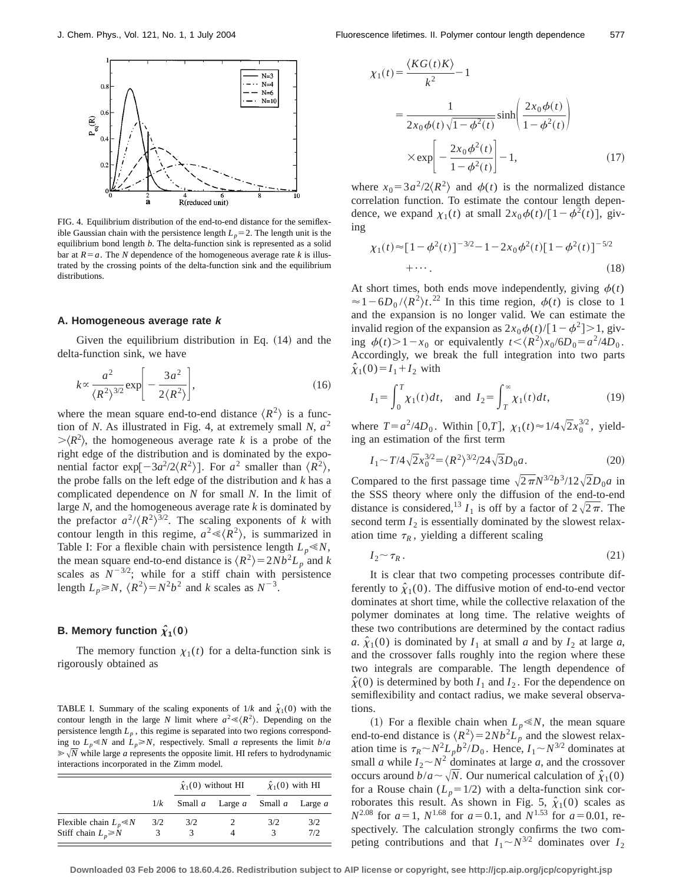

FIG. 4. Equilibrium distribution of the end-to-end distance for the semiflexible Gaussian chain with the persistence length  $L_p = 2$ . The length unit is the equilibrium bond length *b*. The delta-function sink is represented as a solid bar at  $R = a$ . The *N* dependence of the homogeneous average rate *k* is illustrated by the crossing points of the delta-function sink and the equilibrium distributions.

#### **A. Homogeneous average rate k**

Given the equilibrium distribution in Eq.  $(14)$  and the delta-function sink, we have

$$
k \propto \frac{a^2}{\langle R^2 \rangle^{3/2}} \exp\bigg[-\frac{3a^2}{2\langle R^2 \rangle}\bigg],\tag{16}
$$

where the mean square end-to-end distance  $\langle R^2 \rangle$  is a function of *N*. As illustrated in Fig. 4, at extremely small *N*,  $a^2$  $>\langle R^2 \rangle$ , the homogeneous average rate *k* is a probe of the right edge of the distribution and is dominated by the exponential factor  $exp[-3a^2/2\langle R^2 \rangle]$ . For  $a^2$  smaller than  $\langle R^2 \rangle$ , the probe falls on the left edge of the distribution and *k* has a complicated dependence on *N* for small *N*. In the limit of large *N*, and the homogeneous average rate *k* is dominated by the prefactor  $a^2/(R^2)^{3/2}$ . The scaling exponents of *k* with contour length in this regime,  $a^2 \ll \langle R^2 \rangle$ , is summarized in Table I: For a flexible chain with persistence length  $L_p \ll N$ , the mean square end-to-end distance is  $\langle R^2 \rangle = 2Nb^2L_p$  and *k* scales as  $N^{-3/2}$ ; while for a stiff chain with persistence length  $L_p \ge N$ ,  $\langle R^2 \rangle = N^2 b^2$  and *k* scales as  $N^{-3}$ .

### **B. Memory function**  $\hat{\chi}_1(0)$

The memory function  $\chi_1(t)$  for a delta-function sink is rigorously obtained as

TABLE I. Summary of the scaling exponents of  $1/k$  and  $\hat{\chi}_1(0)$  with the contour length in the large *N* limit where  $a^2 \ll \langle R^2 \rangle$ . Depending on the persistence length  $L_p$ , this regime is separated into two regions corresponding to  $L_p \ll N$  and  $L_p \ge N$ , respectively. Small *a* represents the limit  $b/a$  $\gg \sqrt{N}$  while large *a* represents the opposite limit. HI refers to hydrodynamic interactions incorporated in the Zimm model.

|                            | 1/k | $\hat{\chi}_1(0)$ without HI |                         | $\hat{\chi}_1(0)$ with HI |     |
|----------------------------|-----|------------------------------|-------------------------|---------------------------|-----|
|                            |     | Small a                      | Large a Small a Large a |                           |     |
| Flexible chain $L_n \ll N$ | 3/2 | 3/2                          |                         | 3/2                       | 3/2 |
| Stiff chain $L_n \ge N$    |     | 3                            |                         |                           | 7/2 |

$$
\chi_1(t) = \frac{\langle KG(t)K \rangle}{k^2} - 1
$$
  
= 
$$
\frac{1}{2x_0 \phi(t) \sqrt{1 - \phi^2(t)}} \sinh\left(\frac{2x_0 \phi(t)}{1 - \phi^2(t)}\right)
$$
  

$$
\times \exp\left[-\frac{2x_0 \phi^2(t)}{1 - \phi^2(t)}\right] - 1,
$$
 (17)

where  $x_0 = 3a^2/2\langle R^2 \rangle$  and  $\phi(t)$  is the normalized distance correlation function. To estimate the contour length dependence, we expand  $\chi_1(t)$  at small  $2x_0\phi(t)/[1-\phi^2(t)]$ , giving

$$
\chi_1(t) \approx [1 - \phi^2(t)]^{-3/2} - 1 - 2x_0 \phi^2(t) [1 - \phi^2(t)]^{-5/2}
$$
  
+... (18)

At short times, both ends move independently, giving  $\phi(t)$  $\approx 1-6D_0/(R^2)t^{2^2}$  In this time region,  $\phi(t)$  is close to 1 and the expansion is no longer valid. We can estimate the invalid region of the expansion as  $2x_0\phi(t)/[1-\phi^2]$  = 1, giving  $\phi(t) > 1 - x_0$  or equivalently  $t < \langle R^2 \rangle x_0 / 6D_0 = a^2 / 4D_0$ . Accordingly, we break the full integration into two parts  $\hat{\chi}_1(0) = I_1 + I_2$  with

$$
I_1 = \int_0^T \chi_1(t) dt, \text{ and } I_2 = \int_T^\infty \chi_1(t) dt,
$$
 (19)

where  $T = a^2/4D_0$ . Within [0,*T*],  $\chi_1(t) \approx 1/4\sqrt{2}x_0^{3/2}$ , yielding an estimation of the first term

$$
I_1 \sim T/4\sqrt{2}x_0^{3/2} = \langle R^2 \rangle^{3/2}/24\sqrt{3}D_0 a. \tag{20}
$$

Compared to the first passage time  $\sqrt{2\pi}N^{3/2}b^3/12\sqrt{2}D_0a$  in the SSS theory where only the diffusion of the end-to-end distance is considered,<sup>13</sup>  $I_1$  is off by a factor of  $2\sqrt{2\pi}$ . The second term  $I_2$  is essentially dominated by the slowest relaxation time  $\tau_R$ , yielding a different scaling

$$
I_2 \sim \tau_R. \tag{21}
$$

It is clear that two competing processes contribute differently to  $\hat{\chi}_1(0)$ . The diffusive motion of end-to-end vector dominates at short time, while the collective relaxation of the polymer dominates at long time. The relative weights of these two contributions are determined by the contact radius *a*.  $\hat{\chi}_1(0)$  is dominated by  $I_1$  at small *a* and by  $I_2$  at large *a*, and the crossover falls roughly into the region where these two integrals are comparable. The length dependence of  $\hat{\chi}(0)$  is determined by both  $I_1$  and  $I_2$ . For the dependence on semiflexibility and contact radius, we make several observations.

(1) For a flexible chain when  $L_p \ll N$ , the mean square end-to-end distance is  $\langle R^2 \rangle = 2Nb^2L_p$  and the slowest relaxation time is  $\tau_R \sim N^2 L_p b^2 / D_0$ . Hence,  $I_1 \sim N^{3/2}$  dominates at small *a* while  $I_2 \sim N^2$  dominates at large *a*, and the crossover occurs around  $b/a \sim \sqrt{N}$ . Our numerical calculation of  $\hat{\chi}_1(0)$ for a Rouse chain  $(L_p=1/2)$  with a delta-function sink corroborates this result. As shown in Fig. 5,  $\hat{\chi}_1(0)$  scales as  $N^{2.08}$  for  $a=1$ ,  $N^{1.68}$  for  $a=0.1$ , and  $N^{1.53}$  for  $a=0.01$ , respectively. The calculation strongly confirms the two competing contributions and that  $I_1 \sim N^{3/2}$  dominates over  $I_2$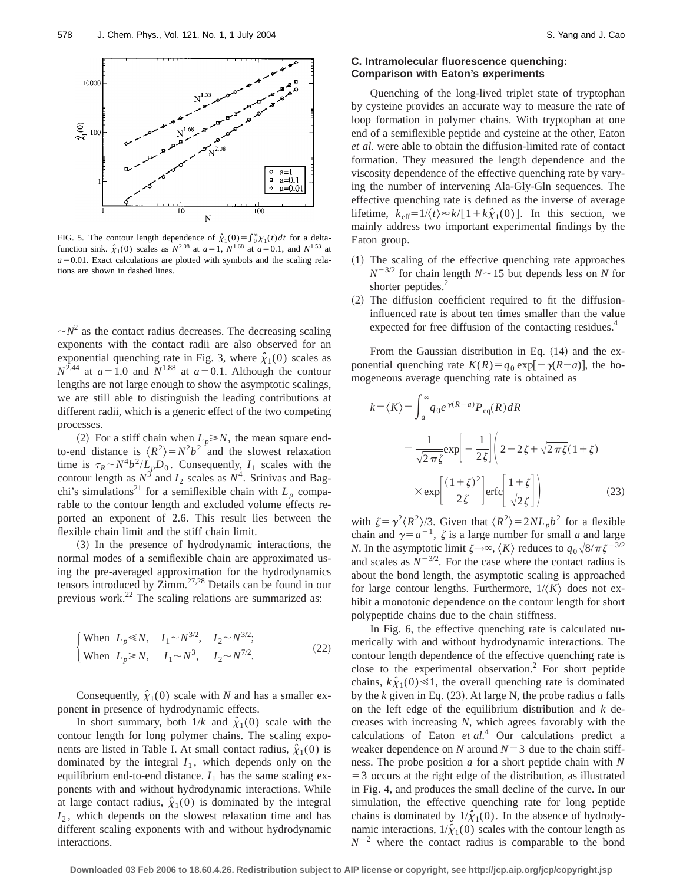

FIG. 5. The contour length dependence of  $\hat{\chi}_1(0) = \int_0^\infty \chi_1(t) dt$  for a deltafunction sink.  $\hat{\chi}_1(0)$  scales as  $N^{2.08}$  at  $a=1$ ,  $N^{1.68}$  at  $a=0.1$ , and  $N^{1.53}$  at  $a=0.01$ . Exact calculations are plotted with symbols and the scaling relations are shown in dashed lines.

 $\sim N^2$  as the contact radius decreases. The decreasing scaling exponents with the contact radii are also observed for an exponential quenching rate in Fig. 3, where  $\hat{\chi}_1(0)$  scales as  $N^{2.44}$  at  $a=1.0$  and  $N^{1.88}$  at  $a=0.1$ . Although the contour lengths are not large enough to show the asymptotic scalings, we are still able to distinguish the leading contributions at different radii, which is a generic effect of the two competing processes.

(2) For a stiff chain when  $L_p \ge N$ , the mean square endto-end distance is  $\langle R^2 \rangle = N^2 b^2$  and the slowest relaxation time is  $\tau_R \sim N^4 b^2 / L_p D_0$ . Consequently,  $I_1$  scales with the contour length as  $N^3$  and  $I_2$  scales as  $N^4$ . Srinivas and Bagchi's simulations<sup>21</sup> for a semiflexible chain with  $L_p$  comparable to the contour length and excluded volume effects reported an exponent of 2.6. This result lies between the flexible chain limit and the stiff chain limit.

~3! In the presence of hydrodynamic interactions, the normal modes of a semiflexible chain are approximated using the pre-averaged approximation for the hydrodynamics tensors introduced by Zimm.27,28 Details can be found in our previous work.<sup>22</sup> The scaling relations are summarized as:

$$
\begin{cases}\n\text{When } L_p \ll N, & I_1 \sim N^{3/2}, & I_2 \sim N^{3/2}; \\
\text{When } L_p \ge N, & I_1 \sim N^3, & I_2 \sim N^{7/2}.\n\end{cases} (22)
$$

Consequently,  $\hat{\chi}_1(0)$  scale with *N* and has a smaller exponent in presence of hydrodynamic effects.

In short summary, both  $1/k$  and  $\hat{\chi}_1(0)$  scale with the contour length for long polymer chains. The scaling exponents are listed in Table I. At small contact radius,  $\hat{\chi}_1(0)$  is dominated by the integral  $I_1$ , which depends only on the equilibrium end-to-end distance.  $I_1$  has the same scaling exponents with and without hydrodynamic interactions. While at large contact radius,  $\hat{\chi}_1(0)$  is dominated by the integral *I*<sup>2</sup> , which depends on the slowest relaxation time and has different scaling exponents with and without hydrodynamic interactions.

# **C. Intramolecular fluorescence quenching: Comparison with Eaton's experiments**

Quenching of the long-lived triplet state of tryptophan by cysteine provides an accurate way to measure the rate of loop formation in polymer chains. With tryptophan at one end of a semiflexible peptide and cysteine at the other, Eaton *et al.* were able to obtain the diffusion-limited rate of contact formation. They measured the length dependence and the viscosity dependence of the effective quenching rate by varying the number of intervening Ala-Gly-Gln sequences. The effective quenching rate is defined as the inverse of average lifetime,  $k_{\text{eff}}=1/\langle t\rangle \approx k/[1+k\hat{\chi}_1(0)]$ . In this section, we mainly address two important experimental findings by the Eaton group.

- $(1)$  The scaling of the effective quenching rate approaches  $N^{-3/2}$  for chain length  $N \sim 15$  but depends less on *N* for shorter peptides.<sup>2</sup>
- $(2)$  The diffusion coefficient required to fit the diffusioninfluenced rate is about ten times smaller than the value expected for free diffusion of the contacting residues.<sup>4</sup>

From the Gaussian distribution in Eq.  $(14)$  and the exponential quenching rate  $K(R) = q_0 \exp[-\gamma(R-a)]$ , the homogeneous average quenching rate is obtained as

$$
k = \langle K \rangle = \int_{a}^{\infty} q_0 e^{\gamma (R - a)} P_{eq}(R) dR
$$
  
= 
$$
\frac{1}{\sqrt{2\pi \zeta}} \exp\left[-\frac{1}{2\zeta}\right] \left(2 - 2\zeta + \sqrt{2\pi \zeta} (1 + \zeta) \right)
$$
  

$$
\times \exp\left[\frac{(1 + \zeta)^2}{2\zeta}\right] \text{erfc}\left[\frac{1 + \zeta}{\sqrt{2\zeta}}\right] \tag{23}
$$

with  $\zeta = \gamma^2 \langle R^2 \rangle /3$ . Given that  $\langle R^2 \rangle = 2NL_p b^2$  for a flexible chain and  $\gamma = a^{-1}$ ,  $\zeta$  is a large number for small *a* and large *N*. In the asymptotic limit  $\overline{\zeta} \to \infty$ ,  $\langle K \rangle$  reduces to  $q_0\sqrt{8/\pi}\zeta^{-3/2}$ and scales as  $N^{-3/2}$ . For the case where the contact radius is about the bond length, the asymptotic scaling is approached for large contour lengths. Furthermore,  $1/(K)$  does not exhibit a monotonic dependence on the contour length for short polypeptide chains due to the chain stiffness.

In Fig. 6, the effective quenching rate is calculated numerically with and without hydrodynamic interactions. The contour length dependence of the effective quenching rate is close to the experimental observation.<sup>2</sup> For short peptide chains,  $k\hat{\chi}_1(0) \ll 1$ , the overall quenching rate is dominated by the  $k$  given in Eq.  $(23)$ . At large N, the probe radius  $a$  falls on the left edge of the equilibrium distribution and *k* decreases with increasing *N*, which agrees favorably with the calculations of Eaton *et al.*<sup>4</sup> Our calculations predict a weaker dependence on *N* around  $N=3$  due to the chain stiffness. The probe position *a* for a short peptide chain with *N*  $=$  3 occurs at the right edge of the distribution, as illustrated in Fig. 4, and produces the small decline of the curve. In our simulation, the effective quenching rate for long peptide chains is dominated by  $1/\hat{\chi}_1(0)$ . In the absence of hydrodynamic interactions,  $1/\hat{\chi}_1(0)$  scales with the contour length as  $N^{-2}$  where the contact radius is comparable to the bond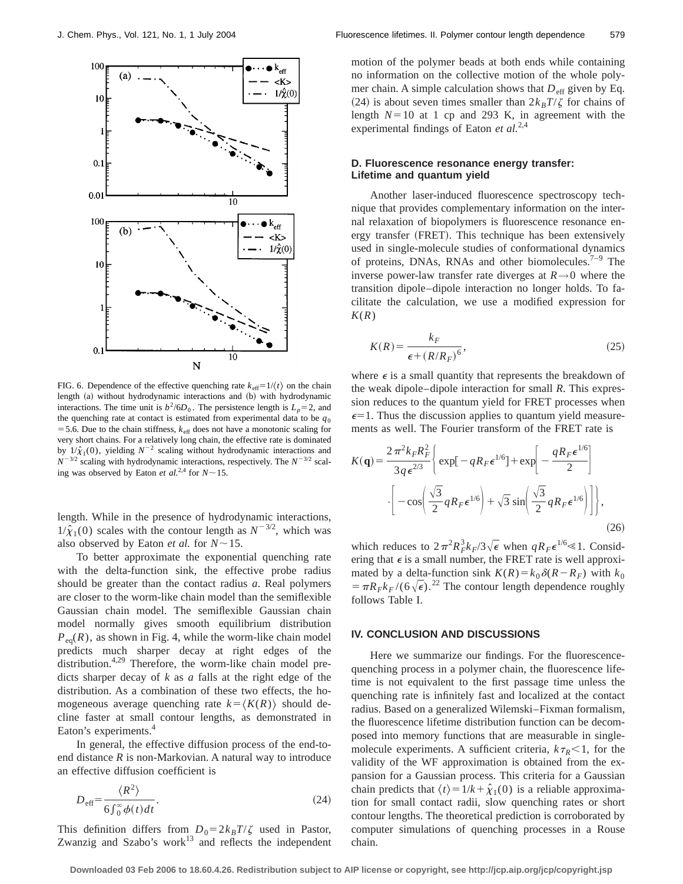

FIG. 6. Dependence of the effective quenching rate  $k_{\text{eff}}=1/\langle t \rangle$  on the chain length (a) without hydrodynamic interactions and (b) with hydrodynamic interactions. The time unit is  $b^2/6D_0$ . The persistence length is  $L_p=2$ , and the quenching rate at contact is estimated from experimental data to be  $q_0$  $=$  5.6. Due to the chain stiffness,  $k_{\text{eff}}$  does not have a monotonic scaling for very short chains. For a relatively long chain, the effective rate is dominated by  $1/\hat{\chi}_1(0)$ , yielding  $N^{-2}$  scaling without hydrodynamic interactions and  $N^{-3/2}$  scaling with hydrodynamic interactions, respectively. The  $N^{-3/2}$  scaling was observed by Eaton *et al.*<sup>2,4</sup> for  $N \sim 15$ .

length. While in the presence of hydrodynamic interactions,  $1/\hat{\chi}_1(0)$  scales with the contour length as  $N^{-3/2}$ , which was also observed by Eaton *et al.* for  $N \sim 15$ .

To better approximate the exponential quenching rate with the delta-function sink, the effective probe radius should be greater than the contact radius *a*. Real polymers are closer to the worm-like chain model than the semiflexible Gaussian chain model. The semiflexible Gaussian chain model normally gives smooth equilibrium distribution  $P_{eq}(R)$ , as shown in Fig. 4, while the worm-like chain model predicts much sharper decay at right edges of the distribution.<sup>4,29</sup> Therefore, the worm-like chain model predicts sharper decay of *k* as *a* falls at the right edge of the distribution. As a combination of these two effects, the homogeneous average quenching rate  $k=\langle K(R) \rangle$  should decline faster at small contour lengths, as demonstrated in Eaton's experiments.<sup>4</sup>

In general, the effective diffusion process of the end-toend distance *R* is non-Markovian. A natural way to introduce an effective diffusion coefficient is

$$
D_{\text{eff}} = \frac{\langle R^2 \rangle}{6 \int_0^\infty \phi(t) dt}.
$$
 (24)

This definition differs from  $D_0=2k_BT/\zeta$  used in Pastor, Zwanzig and Szabo's work $13$  and reflects the independent motion of the polymer beads at both ends while containing no information on the collective motion of the whole polymer chain. A simple calculation shows that  $D_{\text{eff}}$  given by Eq. (24) is about seven times smaller than  $2k_BT/\zeta$  for chains of length  $N=10$  at 1 cp and 293 K, in agreement with the experimental findings of Eaton *et al.*2,4

### **D. Fluorescence resonance energy transfer: Lifetime and quantum yield**

Another laser-induced fluorescence spectroscopy technique that provides complementary information on the internal relaxation of biopolymers is fluorescence resonance energy transfer (FRET). This technique has been extensively used in single-molecule studies of conformational dynamics of proteins, DNAs, RNAs and other biomolecules. $7-9$  The inverse power-law transfer rate diverges at  $R \rightarrow 0$  where the transition dipole–dipole interaction no longer holds. To facilitate the calculation, we use a modified expression for *K*(*R*)

$$
K(R) = \frac{k_F}{\epsilon + (R/R_F)^6},\tag{25}
$$

where  $\epsilon$  is a small quantity that represents the breakdown of the weak dipole–dipole interaction for small *R*. This expression reduces to the quantum yield for FRET processes when  $\epsilon$ =1. Thus the discussion applies to quantum yield measurements as well. The Fourier transform of the FRET rate is

$$
K(\mathbf{q}) = \frac{2\pi^2 k_F R_F^2}{3q\epsilon^{2/3}} \left\{ \exp[-qR_F\epsilon^{1/6}] + \exp\left[-\frac{qR_F\epsilon^{1/6}}{2}\right] \right.
$$

$$
\left[-\cos\left(\frac{\sqrt{3}}{2}qR_F\epsilon^{1/6}\right) + \sqrt{3}\sin\left(\frac{\sqrt{3}}{2}qR_F\epsilon^{1/6}\right)\right] \right\},
$$
(26)

which reduces to  $2\pi^2 R_F^3 k_F/3\sqrt{\epsilon}$  when  $qR_F\epsilon^{1/6} \ll 1$ . Considering that  $\epsilon$  is a small number, the FRET rate is well approximated by a delta-function sink  $K(R) = k_0 \delta(R - R_F)$  with  $k_0$  $= \pi R_F k_F/(6\sqrt{\epsilon})^{22}$  The contour length dependence roughly follows Table I.

#### **IV. CONCLUSION AND DISCUSSIONS**

Here we summarize our findings. For the fluorescencequenching process in a polymer chain, the fluorescence lifetime is not equivalent to the first passage time unless the quenching rate is infinitely fast and localized at the contact radius. Based on a generalized Wilemski–Fixman formalism, the fluorescence lifetime distribution function can be decomposed into memory functions that are measurable in singlemolecule experiments. A sufficient criteria,  $k \tau_R < 1$ , for the validity of the WF approximation is obtained from the expansion for a Gaussian process. This criteria for a Gaussian chain predicts that  $\langle t \rangle = 1/k + \hat{\chi}_1(0)$  is a reliable approximation for small contact radii, slow quenching rates or short contour lengths. The theoretical prediction is corroborated by computer simulations of quenching processes in a Rouse chain.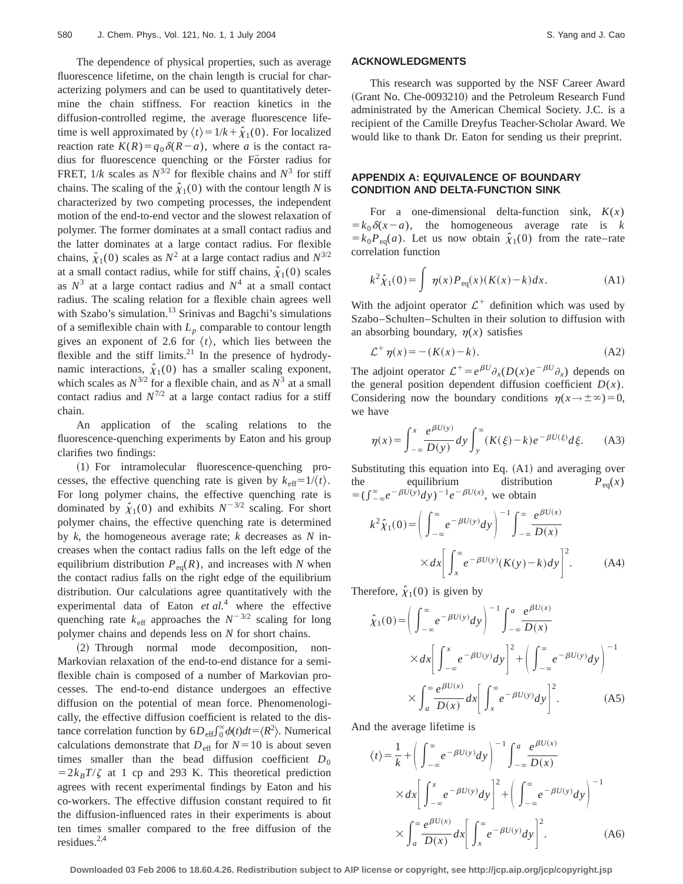The dependence of physical properties, such as average fluorescence lifetime, on the chain length is crucial for characterizing polymers and can be used to quantitatively determine the chain stiffness. For reaction kinetics in the diffusion-controlled regime, the average fluorescence lifetime is well approximated by  $\langle t \rangle = 1/k + \hat{\chi}_1(0)$ . For localized reaction rate  $K(R) = q_0 \delta(R - a)$ , where *a* is the contact radius for fluorescence quenching or the Förster radius for FRET,  $1/k$  scales as  $N^{3/2}$  for flexible chains and  $N^3$  for stiff chains. The scaling of the  $\hat{\chi}_1(0)$  with the contour length *N* is characterized by two competing processes, the independent motion of the end-to-end vector and the slowest relaxation of polymer. The former dominates at a small contact radius and the latter dominates at a large contact radius. For flexible chains,  $\hat{\chi}_1(0)$  scales as  $N^2$  at a large contact radius and  $N^{3/2}$ at a small contact radius, while for stiff chains,  $\hat{\chi}_1(0)$  scales as  $N^3$  at a large contact radius and  $N^4$  at a small contact radius. The scaling relation for a flexible chain agrees well with Szabo's simulation.<sup>13</sup> Srinivas and Bagchi's simulations of a semiflexible chain with  $L_p$  comparable to contour length gives an exponent of 2.6 for  $\langle t \rangle$ , which lies between the flexible and the stiff limits. $^{21}$  In the presence of hydrodynamic interactions,  $\hat{\chi}_1(0)$  has a smaller scaling exponent, which scales as  $N^{3/2}$  for a flexible chain, and as  $N^3$  at a small contact radius and  $N^{7/2}$  at a large contact radius for a stiff chain.

An application of the scaling relations to the fluorescence-quenching experiments by Eaton and his group clarifies two findings:

(1) For intramolecular fluorescence-quenching processes, the effective quenching rate is given by  $k_{\text{eff}}=1/\langle t \rangle$ . For long polymer chains, the effective quenching rate is dominated by  $\hat{\chi}_1(0)$  and exhibits  $N^{-3/2}$  scaling. For short polymer chains, the effective quenching rate is determined by *k*, the homogeneous average rate; *k* decreases as *N* increases when the contact radius falls on the left edge of the equilibrium distribution  $P_{eq}(R)$ , and increases with *N* when the contact radius falls on the right edge of the equilibrium distribution. Our calculations agree quantitatively with the experimental data of Eaton *et al.*<sup>4</sup> where the effective quenching rate  $k_{\text{eff}}$  approaches the  $N^{-3/2}$  scaling for long polymer chains and depends less on *N* for short chains.

 $(2)$  Through normal mode decomposition, Markovian relaxation of the end-to-end distance for a semiflexible chain is composed of a number of Markovian processes. The end-to-end distance undergoes an effective diffusion on the potential of mean force. Phenomenologically, the effective diffusion coefficient is related to the distance correlation function by  $6D_{\text{eff}} \int_0^\infty \phi(t) dt = \langle R^2 \rangle$ . Numerical calculations demonstrate that  $D_{\text{eff}}$  for  $N=10$  is about seven times smaller than the bead diffusion coefficient  $D_0$  $=2k_BT/\zeta$  at 1 cp and 293 K. This theoretical prediction agrees with recent experimental findings by Eaton and his co-workers. The effective diffusion constant required to fit the diffusion-influenced rates in their experiments is about ten times smaller compared to the free diffusion of the residues.<sup>2,4</sup>

### **ACKNOWLEDGMENTS**

This research was supported by the NSF Career Award (Grant No. Che-0093210) and the Petroleum Research Fund administrated by the American Chemical Society. J.C. is a recipient of the Camille Dreyfus Teacher-Scholar Award. We would like to thank Dr. Eaton for sending us their preprint.

## **APPENDIX A: EQUIVALENCE OF BOUNDARY CONDITION AND DELTA-FUNCTION SINK**

For a one-dimensional delta-function sink, *K*(*x*)  $= k_0 \delta(x-a)$ , the homogeneous average rate is *k*  $=k_0P_{eq}(a)$ . Let us now obtain  $\hat{\chi}_1(0)$  from the rate–rate correlation function

$$
k^{2}\hat{\chi}_{1}(0) = \int \eta(x)P_{\text{eq}}(x)(K(x)-k)dx.
$$
 (A1)

With the adjoint operator  $\mathcal{L}^+$  definition which was used by Szabo–Schulten–Schulten in their solution to diffusion with an absorbing boundary,  $\eta(x)$  satisfies

$$
\mathcal{L}^+ \eta(x) = -(K(x) - k). \tag{A2}
$$

The adjoint operator  $\mathcal{L}^+ = e^{\beta U} \partial_x (D(x) e^{-\beta U} \partial_x)$  depends on the general position dependent diffusion coefficient  $D(x)$ . Considering now the boundary conditions  $\eta(x \rightarrow t\infty) = 0$ , we have

$$
\eta(x) = \int_{-\infty}^{x} \frac{e^{\beta U(y)}}{D(y)} dy \int_{y}^{\infty} (K(\xi) - k) e^{-\beta U(\xi)} d\xi.
$$
 (A3)

Substituting this equation into Eq.  $(A1)$  and averaging over the equilibrium distribution  $P_{eq}(x)$  $= (\int_{-\infty}^{\infty} e^{-\beta U(y)} dy)^{-1} e^{-\beta U(x)}$ , we obtain

$$
k^{2}\hat{\chi}_{1}(0) = \left(\int_{-\infty}^{\infty} e^{-\beta U(y)} dy\right)^{-1} \int_{-\infty}^{\infty} \frac{e^{\beta U(x)}}{D(x)}
$$

$$
\times dx \left[\int_{x}^{\infty} e^{-\beta U(y)} (K(y) - k) dy\right]^{2}.
$$
 (A4)

Therefore,  $\hat{\chi}_1(0)$  is given by

$$
\hat{\chi}_1(0) = \left(\int_{-\infty}^{\infty} e^{-\beta U(y)} dy\right)^{-1} \int_{-\infty}^{a} \frac{e^{\beta U(x)}}{D(x)} \times dx \left[\int_{-\infty}^{x} e^{-\beta U(y)} dy\right]^{2} + \left(\int_{-\infty}^{\infty} e^{-\beta U(y)} dy\right)^{-1} \times \int_{a}^{\infty} \frac{e^{\beta U(x)}}{D(x)} dx \left[\int_{x}^{\infty} e^{-\beta U(y)} dy\right]^{2}.
$$
\n(A5)

And the average lifetime is

$$
\langle t \rangle = \frac{1}{k} + \left( \int_{-\infty}^{\infty} e^{-\beta U(y)} dy \right)^{-1} \int_{-\infty}^{a} \frac{e^{\beta U(x)}}{D(x)} \times dx \left[ \int_{-\infty}^{x} e^{-\beta U(y)} dy \right]^{2} + \left( \int_{-\infty}^{\infty} e^{-\beta U(y)} dy \right)^{-1} \times \int_{a}^{\infty} \frac{e^{\beta U(x)}}{D(x)} dx \left[ \int_{x}^{\infty} e^{-\beta U(y)} dy \right]^{2}.
$$
 (A6)